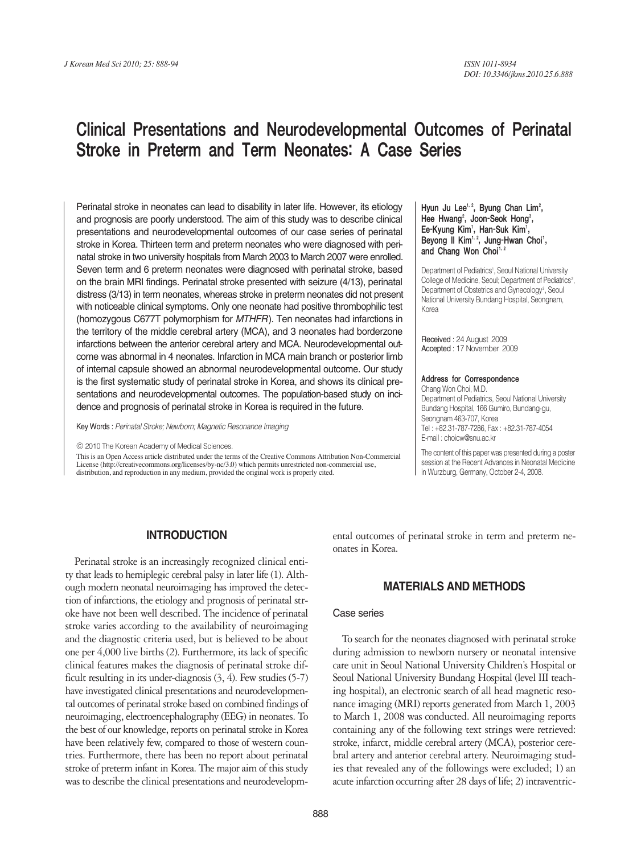# Clinical Presentations and Neurodevelopmental Outcomes of Perinatal Stroke in Preterm and Term Neonates: A Case Series

Perinatal stroke in neonates can lead to disability in later life. However, its etiology and prognosis are poorly understood. The aim of this study was to describe clinical presentations and neurodevelopmental outcomes of our case series of perinatal stroke in Korea. Thirteen term and preterm neonates who were diagnosed with perinatal stroke in two university hospitals from March 2003 to March 2007 were enrolled. Seven term and 6 preterm neonates were diagnosed with perinatal stroke, based on the brain MRI findings. Perinatal stroke presented with seizure (4/13), perinatal distress (3/13) in term neonates, whereas stroke in preterm neonates did not present with noticeable clinical symptoms. Only one neonate had positive thrombophilic test (homozygous C677T polymorphism for *MTHFR*). Ten neonates had infarctions in the territory of the middle cerebral artery (MCA), and 3 neonates had borderzone infarctions between the anterior cerebral artery and MCA. Neurodevelopmental outcome was abnormal in 4 neonates. Infarction in MCA main branch or posterior limb of internal capsule showed an abnormal neurodevelopmental outcome. Our study is the first systematic study of perinatal stroke in Korea, and shows its clinical presentations and neurodevelopmental outcomes. The population-based study on incidence and prognosis of perinatal stroke in Korea is required in the future.

Key Words : *Perinatal Stroke; Newborn; Magnetic Resonance Imaging*

ⓒ 2010 The Korean Academy of Medical Sciences.

This is an Open Access article distributed under the terms of the Creative Commons Attribution Non-Commercial License (http://creativecommons.org/licenses/by-nc/3.0) which permits unrestricted non-commercial use, distribution, and reproduction in any medium, provided the original work is properly cited.

#### Hyun Ju Lee<sup>1, 2</sup>, Byung Chan Lim<sup>2</sup>, Hee Hwang<sup>2</sup>, Joon-Seok Hong<sup>3</sup>, Ee-Kyung Kim<sup>,</sup>, Han-Suk Kim<sup>,</sup>, Beyong II Kim<sup>1, 2</sup>, Jung-Hwan Choi<sup>1</sup>, and Chang Won Choi<sup>1,</sup>

Department of Pediatrics<sup>1</sup>, Seoul National University College of Medicine, Seoul; Department of Pediatrics<sup>2</sup>, Department of Obstetrics and Gynecology<sup>3</sup>, Seoul National University Bundang Hospital, Seongnam, Korea

Received : 24 August 2009 Accepted : 17 November 2009

#### Address for Correspondence

Chang Won Choi, M.D. Department of Pediatrics, Seoul National University Bundang Hospital, 166 Gumiro, Bundang-gu, Seongnam 463-707, Korea Tel : +82.31-787-7286, Fax : +82.31-787-4054 E-mail : choicw@snu.ac.kr

The content of this paper was presented during a poster session at the Recent Advances in Neonatal Medicine in Wurzburg, Germany, October 2-4, 2008.

# **INTRODUCTION**

Perinatal stroke is an increasingly recognized clinical entity that leads to hemiplegic cerebral palsy in later life (1). Although modern neonatal neuroimaging has improved the detection of infarctions, the etiology and prognosis of perinatal stroke have not been well described. The incidence of perinatal stroke varies according to the availability of neuroimaging and the diagnostic criteria used, but is believed to be about one per 4,000 live births (2). Furthermore, its lack of specific clinical features makes the diagnosis of perinatal stroke difficult resulting in its under-diagnosis (3, 4). Few studies (5-7) have investigated clinical presentations and neurodevelopmental outcomes of perinatal stroke based on combined findings of neuroimaging, electroencephalography (EEG) in neonates. To the best of our knowledge, reports on perinatal stroke in Korea have been relatively few, compared to those of western countries. Furthermore, there has been no report about perinatal stroke of preterm infant in Korea. The major aim of this study was to describe the clinical presentations and neurodevelopmental outcomes of perinatal stroke in term and preterm neonates in Korea.

# **MATERIALS AND METHODS**

## Case series

To search for the neonates diagnosed with perinatal stroke during admission to newborn nursery or neonatal intensive care unit in Seoul National University Children's Hospital or Seoul National University Bundang Hospital (level III teaching hospital), an electronic search of all head magnetic resonance imaging (MRI) reports generated from March 1, 2003 to March 1, 2008 was conducted. All neuroimaging reports containing any of the following text strings were retrieved: stroke, infarct, middle cerebral artery (MCA), posterior cerebral artery and anterior cerebral artery. Neuroimaging studies that revealed any of the followings were excluded; 1) an acute infarction occurring after 28 days of life; 2) intraventric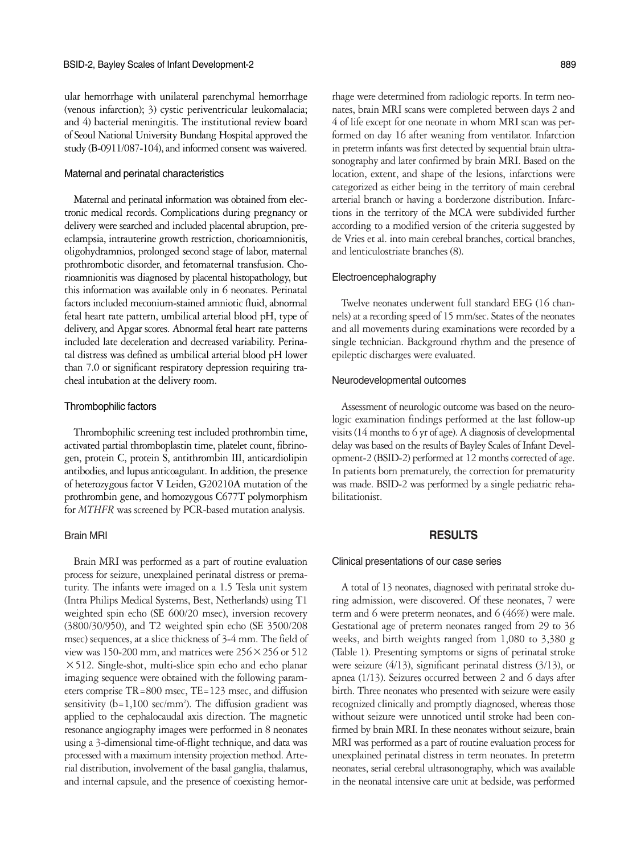ular hemorrhage with unilateral parenchymal hemorrhage (venous infarction); 3) cystic periventricular leukomalacia; and 4) bacterial meningitis. The institutional review board of Seoul National University Bundang Hospital approved the study (B-0911/087-104), and informed consent was waivered.

# Maternal and perinatal characteristics

Maternal and perinatal information was obtained from electronic medical records. Complications during pregnancy or delivery were searched and included placental abruption, preeclampsia, intrauterine growth restriction, chorioamnionitis, oligohydramnios, prolonged second stage of labor, maternal prothrombotic disorder, and fetomaternal transfusion. Chorioamnionitis was diagnosed by placental histopathology, but this information was available only in 6 neonates. Perinatal factors included meconium-stained amniotic fluid, abnormal fetal heart rate pattern, umbilical arterial blood pH, type of delivery, and Apgar scores. Abnormal fetal heart rate patterns included late deceleration and decreased variability. Perinatal distress was defined as umbilical arterial blood pH lower than 7.0 or significant respiratory depression requiring tracheal intubation at the delivery room.

#### Thrombophilic factors

Thrombophilic screening test included prothrombin time, activated partial thromboplastin time, platelet count, fibrinogen, protein C, protein S, antithrombin III, anticardiolipin antibodies, and lupus anticoagulant. In addition, the presence of heterozygous factor V Leiden, G20210A mutation of the prothrombin gene, and homozygous C677T polymorphism for *MTHFR* was screened by PCR-based mutation analysis.

## Brain MRI

Brain MRI was performed as a part of routine evaluation process for seizure, unexplained perinatal distress or prematurity. The infants were imaged on a 1.5 Tesla unit system (Intra Philips Medical Systems, Best, Netherlands) using T1 weighted spin echo (SE 600/20 msec), inversion recovery (3800/30/950), and T2 weighted spin echo (SE 3500/208 msec) sequences, at a slice thickness of 3-4 mm. The field of view was 150-200 mm, and matrices were  $256 \times 256$  or 512 ×512. Single-shot, multi-slice spin echo and echo planar imaging sequence were obtained with the following parameters comprise TR=800 msec, TE=123 msec, and diffusion sensitivity  $(b=1,100 \text{ sec/mm}^2)$ . The diffusion gradient was applied to the cephalocaudal axis direction. The magnetic resonance angiography images were performed in 8 neonates using a 3-dimensional time-of-flight technique, and data was processed with a maximum intensity projection method. Arterial distribution, involvement of the basal ganglia, thalamus, and internal capsule, and the presence of coexisting hemor-

rhage were determined from radiologic reports. In term neonates, brain MRI scans were completed between days 2 and 4 of life except for one neonate in whom MRI scan was performed on day 16 after weaning from ventilator. Infarction in preterm infants was first detected by sequential brain ultrasonography and later confirmed by brain MRI. Based on the location, extent, and shape of the lesions, infarctions were categorized as either being in the territory of main cerebral arterial branch or having a borderzone distribution. Infarctions in the territory of the MCA were subdivided further according to a modified version of the criteria suggested by de Vries et al. into main cerebral branches, cortical branches, and lenticulostriate branches (8).

# Electroencephalography

Twelve neonates underwent full standard EEG (16 channels) at a recording speed of 15 mm/sec. States of the neonates and all movements during examinations were recorded by a single technician. Background rhythm and the presence of epileptic discharges were evaluated.

## Neurodevelopmental outcomes

Assessment of neurologic outcome was based on the neurologic examination findings performed at the last follow-up visits (14 months to 6 yr of age). A diagnosis of developmental delay was based on the results of Bayley Scales of Infant Development-2 (BSID-2) performed at 12 months corrected of age. In patients born prematurely, the correction for prematurity was made. BSID-2 was performed by a single pediatric rehabilitationist.

## **RESULTS**

#### Clinical presentations of our case series

A total of 13 neonates, diagnosed with perinatal stroke during admission, were discovered. Of these neonates, 7 were term and 6 were preterm neonates, and 6 (46%) were male. Gestational age of preterm neonates ranged from 29 to 36 weeks, and birth weights ranged from 1,080 to 3,380 g (Table 1). Presenting symptoms or signs of perinatal stroke were seizure (4/13), significant perinatal distress (3/13), or apnea (1/13). Seizures occurred between 2 and 6 days after birth. Three neonates who presented with seizure were easily recognized clinically and promptly diagnosed, whereas those without seizure were unnoticed until stroke had been confirmed by brain MRI. In these neonates without seizure, brain MRI was performed as a part of routine evaluation process for unexplained perinatal distress in term neonates. In preterm neonates, serial cerebral ultrasonography, which was available in the neonatal intensive care unit at bedside, was performed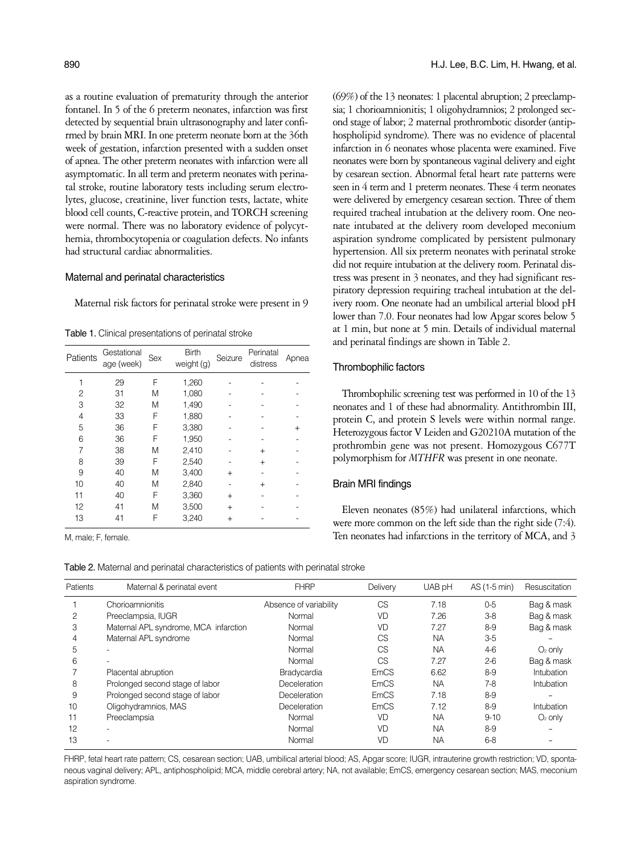as a routine evaluation of prematurity through the anterior fontanel. In 5 of the 6 preterm neonates, infarction was first detected by sequential brain ultrasonography and later confirmed by brain MRI. In one preterm neonate born at the 36th week of gestation, infarction presented with a sudden onset of apnea. The other preterm neonates with infarction were all asymptomatic. In all term and preterm neonates with perinatal stroke, routine laboratory tests including serum electrolytes, glucose, creatinine, liver function tests, lactate, white blood cell counts, C-reactive protein, and TORCH screening were normal. There was no laboratory evidence of polycythemia, thrombocytopenia or coagulation defects. No infants had structural cardiac abnormalities.

## Maternal and perinatal characteristics

Maternal risk factors for perinatal stroke were present in 9

Table 1. Clinical presentations of perinatal stroke

| Patients | Gestational<br>age (week) | Sex | <b>Birth</b><br>weight (g) | Seizure   | Perinatal<br>distress | Apnea |
|----------|---------------------------|-----|----------------------------|-----------|-----------------------|-------|
| 1        | 29                        | F   | 1,260                      |           |                       |       |
| 2        | 31                        | M   | 1,080                      |           |                       |       |
| 3        | 32                        | M   | 1,490                      |           |                       |       |
| 4        | 33                        | F   | 1,880                      |           |                       |       |
| 5        | 36                        | F   | 3,380                      |           |                       |       |
| 6        | 36                        | F   | 1,950                      |           |                       |       |
| 7        | 38                        | M   | 2,410                      |           | $^{+}$                |       |
| 8        | 39                        | F   | 2,540                      |           | $^{+}$                |       |
| 9        | 40                        | M   | 3,400                      | $+$       |                       |       |
| 10       | 40                        | M   | 2,840                      |           | $+$                   |       |
| 11       | 40                        | F   | 3,360                      | $+$       |                       |       |
| 12       | 41                        | M   | 3,500                      | $+$       |                       |       |
| 13       | 41                        | F   | 3,240                      | $\ddot{}$ |                       |       |
|          |                           |     |                            |           |                       |       |

Table 2. Maternal and perinatal characteristics of patients with perinatal stroke

(69%) of the 13 neonates: 1 placental abruption; 2 preeclampsia; 1 chorioamnionitis; 1 oligohydramnios; 2 prolonged second stage of labor; 2 maternal prothrombotic disorder (antiphospholipid syndrome). There was no evidence of placental infarction in 6 neonates whose placenta were examined. Five neonates were born by spontaneous vaginal delivery and eight by cesarean section. Abnormal fetal heart rate patterns were seen in 4 term and 1 preterm neonates. These 4 term neonates were delivered by emergency cesarean section. Three of them required tracheal intubation at the delivery room. One neonate intubated at the delivery room developed meconium aspiration syndrome complicated by persistent pulmonary hypertension. All six preterm neonates with perinatal stroke did not require intubation at the delivery room. Perinatal distress was present in 3 neonates, and they had significant respiratory depression requiring tracheal intubation at the delivery room. One neonate had an umbilical arterial blood pH lower than 7.0. Four neonates had low Apgar scores below 5 at 1 min, but none at 5 min. Details of individual maternal and perinatal findings are shown in Table 2.

# Thrombophilic factors

Thrombophilic screening test was performed in 10 of the 13 neonates and 1 of these had abnormality. Antithrombin III, protein C, and protein S levels were within normal range. Heterozygous factor V Leiden and G20210A mutation of the prothrombin gene was not present. Homozygous C677T polymorphism for *MTHFR* was present in one neonate.

## Brain MRI findings

Eleven neonates (85%) had unilateral infarctions, which were more common on the left side than the right side (7:4). M, male; F, female. Ten neonates had infarctions in the territory of MCA, and 3

| Patients | Maternal & perinatal event            | <b>FHRP</b>            | Delivery    | UAB pH    | AS (1-5 min) | Resuscitation |
|----------|---------------------------------------|------------------------|-------------|-----------|--------------|---------------|
|          | Chorioamnionitis                      | Absence of variability | CS          | 7.18      | $0-5$        | Bag & mask    |
| 2        | Preeclampsia, IUGR                    | Normal                 | <b>VD</b>   | 7.26      | $3-8$        | Bag & mask    |
| 3        | Maternal APL syndrome, MCA infarction | Normal                 | VD          | 7.27      | $8-9$        | Bag & mask    |
| 4        | Maternal APL syndrome                 | Normal                 | <b>CS</b>   | <b>NA</b> | $3-5$        |               |
| 5        |                                       | Normal                 | <b>CS</b>   | <b>NA</b> | $4-6$        | $O2$ only     |
| 6        |                                       | Normal                 | CS          | 7.27      | $2 - 6$      | Bag & mask    |
|          | Placental abruption                   | Bradycardia            | <b>EmCS</b> | 6.62      | $8-9$        | Intubation    |
| 8        | Prolonged second stage of labor       | Deceleration           | <b>EmCS</b> | <b>NA</b> | $7-8$        | Intubation    |
| 9        | Prolonged second stage of labor       | Deceleration           | <b>EmCS</b> | 7.18      | $8-9$        |               |
| 10       | Oligohydramnios, MAS                  | Deceleration           | <b>EmCS</b> | 7.12      | $8-9$        | Intubation    |
| 11       | Preeclampsia                          | Normal                 | <b>VD</b>   | <b>NA</b> | $9 - 10$     | $O2$ only     |
| 12       |                                       | Normal                 | VD          | <b>NA</b> | $8-9$        |               |
| 13       |                                       | Normal                 | VD          | <b>NA</b> | $6 - 8$      |               |

FHRP, fetal heart rate pattern; CS, cesarean section; UAB, umbilical arterial blood; AS, Apgar score; IUGR, intrauterine growth restriction; VD, spontaneous vaginal delivery; APL, antiphospholipid; MCA, middle cerebral artery; NA, not available; EmCS, emergency cesarean section; MAS, meconium aspiration syndrome.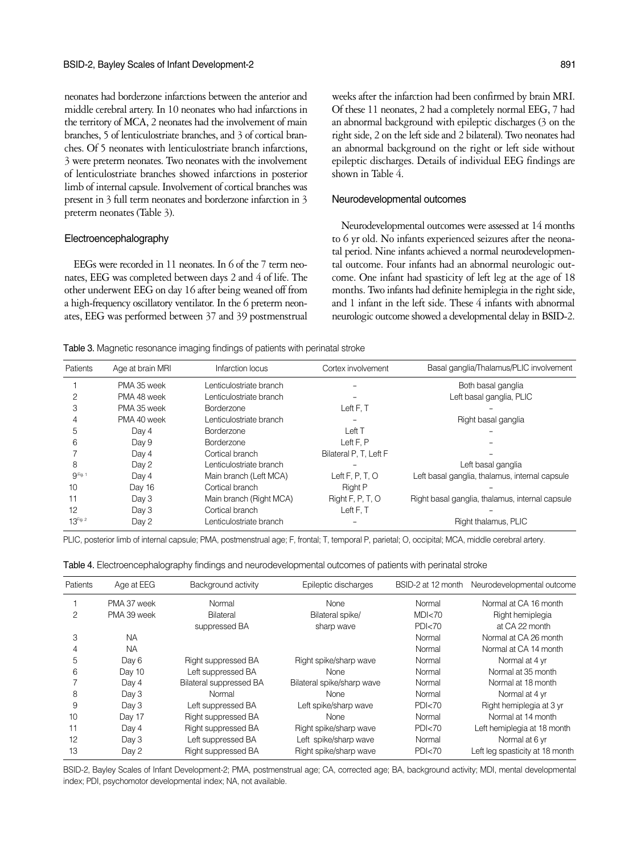neonates had borderzone infarctions between the anterior and middle cerebral artery. In 10 neonates who had infarctions in the territory of MCA, 2 neonates had the involvement of main branches, 5 of lenticulostriate branches, and 3 of cortical branches. Of 5 neonates with lenticulostriate branch infarctions, 3 were preterm neonates. Two neonates with the involvement of lenticulostriate branches showed infarctions in posterior limb of internal capsule. Involvement of cortical branches was present in 3 full term neonates and borderzone infarction in 3 preterm neonates (Table 3).

#### Electroencephalography

EEGs were recorded in 11 neonates. In 6 of the 7 term neonates, EEG was completed between days 2 and 4 of life. The other underwent EEG on day 16 after being weaned off from a high-frequency oscillatory ventilator. In the 6 preterm neonates, EEG was performed between 37 and 39 postmenstrual

weeks after the infarction had been confirmed by brain MRI. Of these 11 neonates, 2 had a completely normal EEG, 7 had an abnormal background with epileptic discharges (3 on the right side, 2 on the left side and 2 bilateral). Two neonates had an abnormal background on the right or left side without epileptic discharges. Details of individual EEG findings are shown in Table 4.

#### Neurodevelopmental outcomes

Neurodevelopmental outcomes were assessed at 14 months to 6 yr old. No infants experienced seizures after the neonatal period. Nine infants achieved a normal neurodevelopmental outcome. Four infants had an abnormal neurologic outcome. One infant had spasticity of left leg at the age of 18 months. Two infants had definite hemiplegia in the right side, and 1 infant in the left side. These 4 infants with abnormal neurologic outcome showed a developmental delay in BSID-2.

Table 3. Magnetic resonance imaging findings of patients with perinatal stroke

| Patients             | Age at brain MRI | Infarction locus        | Cortex involvement     | Basal ganglia/Thalamus/PLIC involvement         |
|----------------------|------------------|-------------------------|------------------------|-------------------------------------------------|
|                      | PMA 35 week      | Lenticulostriate branch |                        | Both basal ganglia                              |
|                      | PMA 48 week      | Lenticulostriate branch |                        | Left basal ganglia, PLIC                        |
| 3                    | PMA 35 week      | Borderzone              | Left F, T              |                                                 |
| 4                    | PMA 40 week      | Lenticulostriate branch |                        | Right basal ganglia                             |
| 5                    | Day 4            | <b>Borderzone</b>       | Left T                 |                                                 |
| 6                    | Day 9            | <b>Borderzone</b>       | Left F, P              |                                                 |
|                      | Day 4            | Cortical branch         | Bilateral P, T, Left F |                                                 |
| 8                    | Day 2            | Lenticulostriate branch |                        | Left basal ganglia                              |
| 9 <sup>Fig. 1</sup>  | Day 4            | Main branch (Left MCA)  | Left $F, P, T, O$      | Left basal ganglia, thalamus, internal capsule  |
| 10                   | Day 16           | Cortical branch         | <b>Right P</b>         |                                                 |
| 11                   | Day 3            | Main branch (Right MCA) | Right F, P, T, O       | Right basal ganglia, thalamus, internal capsule |
| 12                   | Day 3            | Cortical branch         | Left F, T              |                                                 |
| 13 <sup>Fig. 2</sup> | Day 2            | Lenticulostriate branch |                        | Right thalamus, PLIC                            |

PLIC, posterior limb of internal capsule; PMA, postmenstrual age; F, frontal; T, temporal P, parietal; O, occipital; MCA, middle cerebral artery.

| Patients | Age at EEG  | Background activity     | Epileptic discharges       | BSID-2 at 12 month | Neurodevelopmental outcome      |
|----------|-------------|-------------------------|----------------------------|--------------------|---------------------------------|
|          | PMA 37 week | Normal                  | <b>None</b>                | Normal             | Normal at CA 16 month           |
| 2        | PMA 39 week | Bilateral               | Bilateral spike/           | MDI < 70           | Right hemiplegia                |
|          |             | suppressed BA           | sharp wave                 | PDI<70             | at CA 22 month                  |
| 3        | <b>NA</b>   |                         |                            | Normal             | Normal at CA 26 month           |
|          | <b>NA</b>   |                         |                            | Normal             | Normal at CA 14 month           |
| 5        | Day 6       | Right suppressed BA     | Right spike/sharp wave     | Normal             | Normal at 4 yr                  |
| 6        | Day 10      | Left suppressed BA      | <b>None</b>                | Normal             | Normal at 35 month              |
|          | Day 4       | Bilateral suppressed BA | Bilateral spike/sharp wave | Normal             | Normal at 18 month              |
| 8        | Day 3       | Normal                  | <b>None</b>                | Normal             | Normal at 4 yr                  |
| 9        | Day 3       | Left suppressed BA      | Left spike/sharp wave      | PDI<70             | Right hemiplegia at 3 yr        |
| 10       | Day 17      | Right suppressed BA     | <b>None</b>                | Normal             | Normal at 14 month              |
| 11       | Day 4       | Right suppressed BA     | Right spike/sharp wave     | PDI<70             | Left hemiplegia at 18 month     |
| 12       | Day 3       | Left suppressed BA      | Left spike/sharp wave      | Normal             | Normal at 6 yr                  |
| 13       | Day 2       | Right suppressed BA     | Right spike/sharp wave     | PDI<70             | Left leg spasticity at 18 month |
|          |             |                         |                            |                    |                                 |

Table 4. Electroencephalography findings and neurodevelopmental outcomes of patients with perinatal stroke

BSID-2, Bayley Scales of Infant Development-2; PMA, postmenstrual age; CA, corrected age; BA, background activity; MDI, mental developmental index; PDI, psychomotor developmental index; NA, not available.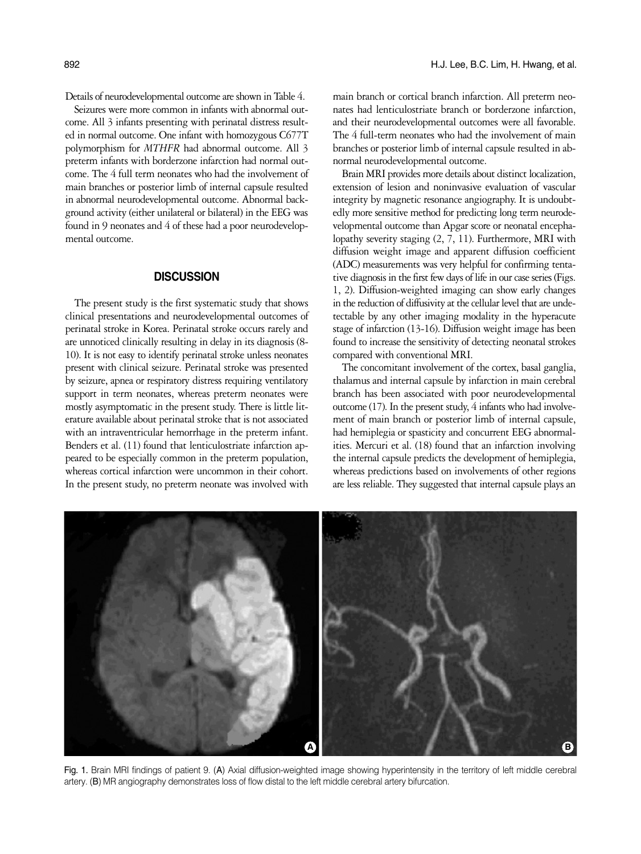Seizures were more common in infants with abnormal outcome. All 3 infants presenting with perinatal distress resulted in normal outcome. One infant with homozygous C677T polymorphism for *MTHFR* had abnormal outcome. All 3 preterm infants with borderzone infarction had normal outcome. The 4 full term neonates who had the involvement of main branches or posterior limb of internal capsule resulted in abnormal neurodevelopmental outcome. Abnormal background activity (either unilateral or bilateral) in the EEG was found in 9 neonates and 4 of these had a poor neurodevelopmental outcome.

# **DISCUSSION**

The present study is the first systematic study that shows clinical presentations and neurodevelopmental outcomes of perinatal stroke in Korea. Perinatal stroke occurs rarely and are unnoticed clinically resulting in delay in its diagnosis (8- 10). It is not easy to identify perinatal stroke unless neonates present with clinical seizure. Perinatal stroke was presented by seizure, apnea or respiratory distress requiring ventilatory support in term neonates, whereas preterm neonates were mostly asymptomatic in the present study. There is little literature available about perinatal stroke that is not associated with an intraventricular hemorrhage in the preterm infant. Benders et al. (11) found that lenticulostriate infarction appeared to be especially common in the preterm population, whereas cortical infarction were uncommon in their cohort. In the present study, no preterm neonate was involved with

main branch or cortical branch infarction. All preterm neonates had lenticulostriate branch or borderzone infarction, and their neurodevelopmental outcomes were all favorable. The 4 full-term neonates who had the involvement of main branches or posterior limb of internal capsule resulted in abnormal neurodevelopmental outcome.

Brain MRI provides more details about distinct localization, extension of lesion and noninvasive evaluation of vascular integrity by magnetic resonance angiography. It is undoubtedly more sensitive method for predicting long term neurodevelopmental outcome than Apgar score or neonatal encephalopathy severity staging (2, 7, 11). Furthermore, MRI with diffusion weight image and apparent diffusion coefficient (ADC) measurements was very helpful for confirming tentative diagnosis in the first few days of life in our case series (Figs. 1, 2). Diffusion-weighted imaging can show early changes in the reduction of diffusivity at the cellular level that are undetectable by any other imaging modality in the hyperacute stage of infarction (13-16). Diffusion weight image has been found to increase the sensitivity of detecting neonatal strokes compared with conventional MRI.

The concomitant involvement of the cortex, basal ganglia, thalamus and internal capsule by infarction in main cerebral branch has been associated with poor neurodevelopmental outcome (17). In the present study, 4 infants who had involvement of main branch or posterior limb of internal capsule, had hemiplegia or spasticity and concurrent EEG abnormalities. Mercuri et al. (18) found that an infarction involving the internal capsule predicts the development of hemiplegia, whereas predictions based on involvements of other regions are less reliable. They suggested that internal capsule plays an



Fig. 1. Brain MRI findings of patient 9. (A) Axial diffusion-weighted image showing hyperintensity in the territory of left middle cerebral artery. (B) MR angiography demonstrates loss of flow distal to the left middle cerebral artery bifurcation.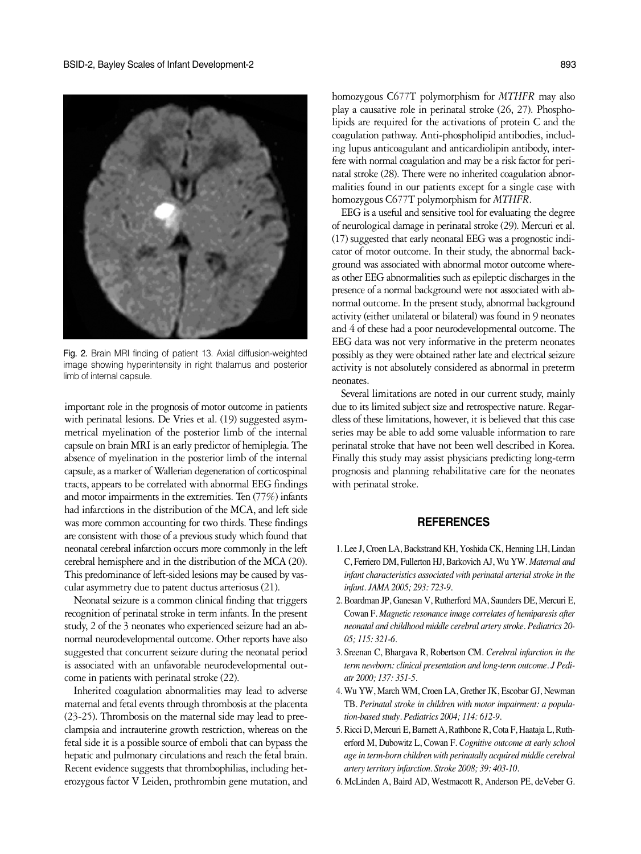

Fig. 2. Brain MRI finding of patient 13. Axial diffusion-weighted image showing hyperintensity in right thalamus and posterior limb of internal capsule.

important role in the prognosis of motor outcome in patients with perinatal lesions. De Vries et al. (19) suggested asymmetrical myelination of the posterior limb of the internal capsule on brain MRI is an early predictor of hemiplegia. The absence of myelination in the posterior limb of the internal capsule, as a marker of Wallerian degeneration of corticospinal tracts, appears to be correlated with abnormal EEG findings and motor impairments in the extremities. Ten (77%) infants had infarctions in the distribution of the MCA, and left side was more common accounting for two thirds. These findings are consistent with those of a previous study which found that neonatal cerebral infarction occurs more commonly in the left cerebral hemisphere and in the distribution of the MCA (20). This predominance of left-sided lesions may be caused by vascular asymmetry due to patent ductus arteriosus (21).

Neonatal seizure is a common clinical finding that triggers recognition of perinatal stroke in term infants. In the present study, 2 of the 3 neonates who experienced seizure had an abnormal neurodevelopmental outcome. Other reports have also suggested that concurrent seizure during the neonatal period is associated with an unfavorable neurodevelopmental outcome in patients with perinatal stroke (22).

Inherited coagulation abnormalities may lead to adverse maternal and fetal events through thrombosis at the placenta (23-25). Thrombosis on the maternal side may lead to preeclampsia and intrauterine growth restriction, whereas on the fetal side it is a possible source of emboli that can bypass the hepatic and pulmonary circulations and reach the fetal brain. Recent evidence suggests that thrombophilias, including heterozygous factor V Leiden, prothrombin gene mutation, and

homozygous C677T polymorphism for *MTHFR* may also play a causative role in perinatal stroke (26, 27). Phospholipids are required for the activations of protein C and the coagulation pathway. Anti-phospholipid antibodies, including lupus anticoagulant and anticardiolipin antibody, interfere with normal coagulation and may be a risk factor for perinatal stroke (28). There were no inherited coagulation abnormalities found in our patients except for a single case with homozygous C677T polymorphism for *MTHFR*.

EEG is a useful and sensitive tool for evaluating the degree of neurological damage in perinatal stroke (29). Mercuri et al. (17) suggested that early neonatal EEG was a prognostic indicator of motor outcome. In their study, the abnormal background was associated with abnormal motor outcome whereas other EEG abnormalities such as epileptic discharges in the presence of a normal background were not associated with abnormal outcome. In the present study, abnormal background activity (either unilateral or bilateral) was found in 9 neonates and 4 of these had a poor neurodevelopmental outcome. The EEG data was not very informative in the preterm neonates possibly as they were obtained rather late and electrical seizure activity is not absolutely considered as abnormal in preterm neonates.

Several limitations are noted in our current study, mainly due to its limited subject size and retrospective nature. Regardless of these limitations, however, it is believed that this case series may be able to add some valuable information to rare perinatal stroke that have not been well described in Korea. Finally this study may assist physicians predicting long-term prognosis and planning rehabilitative care for the neonates with perinatal stroke.

# **REFERENCES**

- 1. Lee J, Croen LA, Backstrand KH, Yoshida CK, Henning LH, Lindan C, Ferriero DM, Fullerton HJ, Barkovich AJ, Wu YW. *Maternal and infant characteristics associated with perinatal arterial stroke in the infant. JAMA 2005; 293: 723-9.*
- 2. Boardman JP, Ganesan V, Rutherford MA, Saunders DE, Mercuri E, Cowan F. *Magnetic resonance image correlates of hemiparesis after neonatal and childhood middle cerebral artery stroke. Pediatrics 20- 05; 115: 321-6.*
- 3. Sreenan C, Bhargava R, Robertson CM. *Cerebral infarction in the term newborn: clinical presentation and long-term outcome. J Pediatr 2000; 137: 351-5.*
- 4. Wu YW, March WM, Croen LA, Grether JK, Escobar GJ, Newman TB. *Perinatal stroke in children with motor impairment: a population-based study. Pediatrics 2004; 114: 612-9*.
- 5. Ricci D, Mercuri E, Barnett A, Rathbone R, Cota F, Haataja L, Rutherford M, Dubowitz L, Cowan F. *Cognitive outcome at early school age in term-born children with perinatally acquired middle cerebral artery territory infarction. Stroke 2008; 39: 403-10.*
- 6. McLinden A, Baird AD, Westmacott R, Anderson PE, deVeber G.